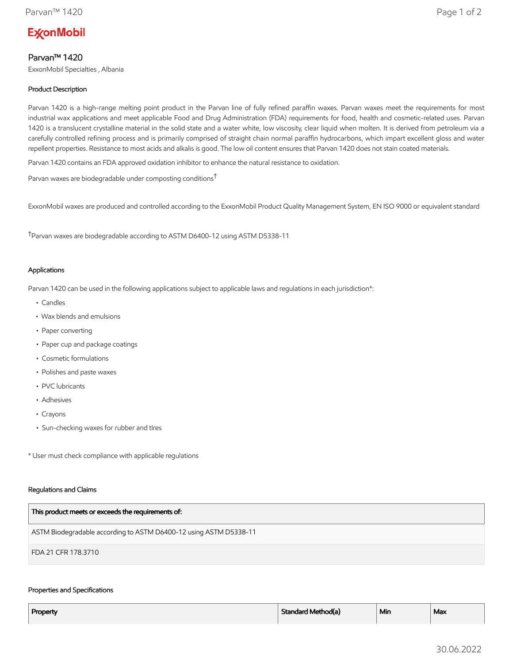# **ExconMobil**

## Parvan™ 1420

ExxonMobil Specialties , Albania

## Product Description

Parvan 1420 is a high-range melting point product in the Parvan line of fully refined paraffin waxes. Parvan waxes meet the requirements for most industrial wax applications and meet applicable Food and Drug Administration (FDA) requirements for food, health and cosmetic-related uses. Parvan 1420 is a translucent crystalline material in the solid state and a water white, low viscosity, clear liquid when molten. It is derived from petroleum via a carefully controlled refining process and is primarily comprised of straight chain normal paraffin hydrocarbons, which impart excellent gloss and water repellent properties. Resistance to most acids and alkalis is good. The low oil content ensures that Parvan 1420 does not stain coated materials.

Parvan 1420 contains an FDA approved oxidation inhibitor to enhance the natural resistance to oxidation.

Parvan waxes are biodegradable under composting conditions†

ExxonMobil waxes are produced and controlled according to the ExxonMobil Product Quality Management System, EN ISO 9000 or equivalent standard

†Parvan waxes are biodegradable according to ASTM D6400-12 using ASTM D5338-11

#### Applications

Parvan 1420 can be used in the following applications subject to applicable laws and regulations in each jurisdiction\*:

- Candles
- Wax blends and emulsions
- Paper converting
- Paper cup and package coatings
- Cosmetic formulations
- Polishes and paste waxes
- PVC lubricants
- Adhesives
- Crayons
- Sun-checking waxes for rubber and tIres

\* User must check compliance with applicable regulations

#### Regulations and Claims

| This product meets or exceeds the requirements of:                |
|-------------------------------------------------------------------|
| ASTM Biodegradable according to ASTM D6400-12 using ASTM D5338-11 |
| FDA 21 CFR 178.3710                                               |

#### Properties and Specifications

| Property | Standard Method(a) | <sup>⊥</sup> Min | Max |
|----------|--------------------|------------------|-----|
|          |                    |                  |     |